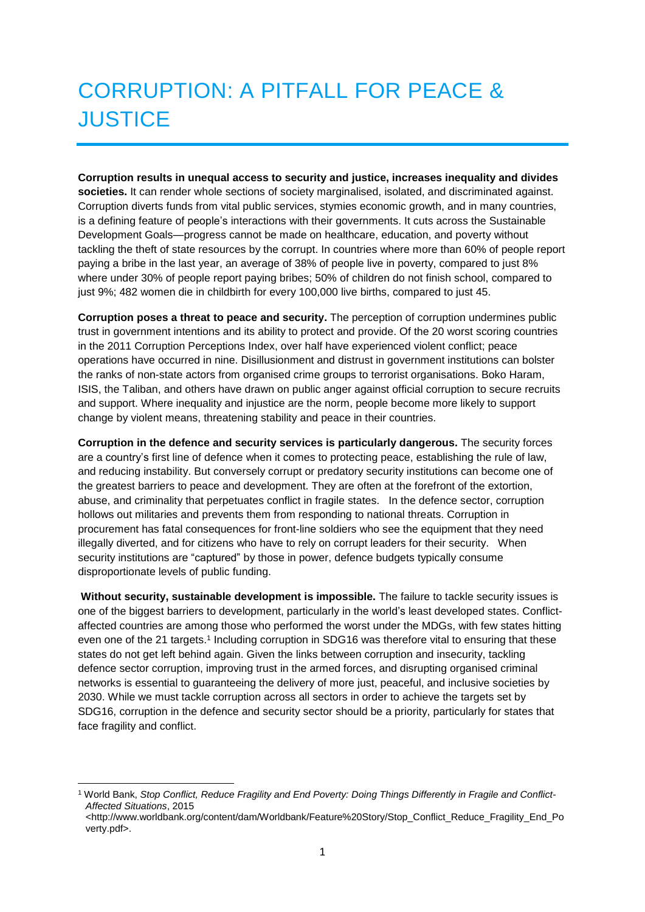# CORRUPTION: A PITFALL FOR PEACE & **JUSTICE**

**Corruption results in unequal access to security and justice, increases inequality and divides societies.** It can render whole sections of society marginalised, isolated, and discriminated against. Corruption diverts funds from vital public services, stymies economic growth, and in many countries, is a defining feature of people's interactions with their governments. It cuts across the Sustainable Development Goals—progress cannot be made on healthcare, education, and poverty without tackling the theft of state resources by the corrupt. In countries where more than 60% of people report paying a bribe in the last year, an average of 38% of people live in poverty, compared to just 8% where under 30% of people report paying bribes; 50% of children do not finish school, compared to just 9%; 482 women die in childbirth for every 100,000 live births, compared to just 45.

**Corruption poses a threat to peace and security.** The perception of corruption undermines public trust in government intentions and its ability to protect and provide. Of the 20 worst scoring countries in the 2011 Corruption Perceptions Index, over half have experienced violent conflict; peace operations have occurred in nine. Disillusionment and distrust in government institutions can bolster the ranks of non-state actors from organised crime groups to terrorist organisations. Boko Haram, ISIS, the Taliban, and others have drawn on public anger against official corruption to secure recruits and support. Where inequality and injustice are the norm, people become more likely to support change by violent means, threatening stability and peace in their countries.

**Corruption in the defence and security services is particularly dangerous.** The security forces are a country's first line of defence when it comes to protecting peace, establishing the rule of law, and reducing instability. But conversely corrupt or predatory security institutions can become one of the greatest barriers to peace and development. They are often at the forefront of the extortion, abuse, and criminality that perpetuates conflict in fragile states. In the defence sector, corruption hollows out militaries and prevents them from responding to national threats. Corruption in procurement has fatal consequences for front-line soldiers who see the equipment that they need illegally diverted, and for citizens who have to rely on corrupt leaders for their security. When security institutions are "captured" by those in power, defence budgets typically consume disproportionate levels of public funding.

**Without security, sustainable development is impossible.** The failure to tackle security issues is one of the biggest barriers to development, particularly in the world's least developed states. Conflictaffected countries are among those who performed the worst under the MDGs, with few states hitting even one of the 21 targets.<sup>1</sup> Including corruption in SDG16 was therefore vital to ensuring that these states do not get left behind again. Given the links between corruption and insecurity, tackling defence sector corruption, improving trust in the armed forces, and disrupting organised criminal networks is essential to guaranteeing the delivery of more just, peaceful, and inclusive societies by 2030. While we must tackle corruption across all sectors in order to achieve the targets set by SDG16, corruption in the defence and security sector should be a priority, particularly for states that face fragility and conflict.

**<sup>.</sup>** <sup>1</sup> World Bank, *Stop Conflict, Reduce Fragility and End Poverty: Doing Things Differently in Fragile and Conflict-Affected Situations*, 2015

<sup>&</sup>lt;http://www.worldbank.org/content/dam/Worldbank/Feature%20Story/Stop\_Conflict\_Reduce\_Fragility\_End\_Po verty.pdf>.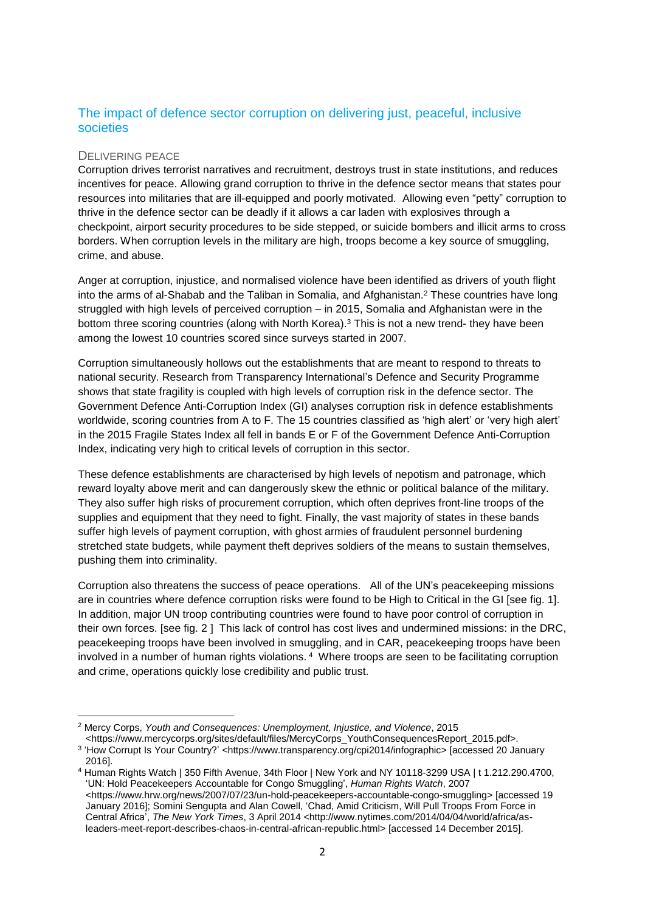## The impact of defence sector corruption on delivering just, peaceful, inclusive societies

#### DELIVERING PEACE

Corruption drives terrorist narratives and recruitment, destroys trust in state institutions, and reduces incentives for peace. Allowing grand corruption to thrive in the defence sector means that states pour resources into militaries that are ill-equipped and poorly motivated. Allowing even "petty" corruption to thrive in the defence sector can be deadly if it allows a car laden with explosives through a checkpoint, airport security procedures to be side stepped, or suicide bombers and illicit arms to cross borders. When corruption levels in the military are high, troops become a key source of smuggling, crime, and abuse.

Anger at corruption, injustice, and normalised violence have been identified as drivers of youth flight into the arms of al-Shabab and the Taliban in Somalia, and Afghanistan.<sup>2</sup> These countries have long struggled with high levels of perceived corruption – in 2015, Somalia and Afghanistan were in the bottom three scoring countries (along with North Korea).<sup>3</sup> This is not a new trend- they have been among the lowest 10 countries scored since surveys started in 2007.

Corruption simultaneously hollows out the establishments that are meant to respond to threats to national security. Research from Transparency International's Defence and Security Programme shows that state fragility is coupled with high levels of corruption risk in the defence sector. The Government Defence Anti-Corruption Index (GI) analyses corruption risk in defence establishments worldwide, scoring countries from A to F. The 15 countries classified as 'high alert' or 'very high alert' in the 2015 Fragile States Index all fell in bands E or F of the Government Defence Anti-Corruption Index, indicating very high to critical levels of corruption in this sector.

These defence establishments are characterised by high levels of nepotism and patronage, which reward loyalty above merit and can dangerously skew the ethnic or political balance of the military. They also suffer high risks of procurement corruption, which often deprives front-line troops of the supplies and equipment that they need to fight. Finally, the vast majority of states in these bands suffer high levels of payment corruption, with ghost armies of fraudulent personnel burdening stretched state budgets, while payment theft deprives soldiers of the means to sustain themselves, pushing them into criminality.

Corruption also threatens the success of peace operations. All of the UN's peacekeeping missions are in countries where defence corruption risks were found to be High to Critical in the GI [see fig. 1]. In addition, major UN troop contributing countries were found to have poor control of corruption in their own forces. [see fig. 2 ] This lack of control has cost lives and undermined missions: in the DRC, peacekeeping troops have been involved in smuggling, and in CAR, peacekeeping troops have been involved in a number of human rights violations. <sup>4</sup> Where troops are seen to be facilitating corruption and crime, operations quickly lose credibility and public trust.

 $\overline{a}$ <sup>2</sup> Mercy Corps, *Youth and Consequences: Unemployment, Injustice, and Violence*, 2015

<sup>&</sup>lt;https://www.mercycorps.org/sites/default/files/MercyCorps\_YouthConsequencesReport\_2015.pdf>. 3 'How Corrupt Is Your Country?' <https://www.transparency.org/cpi2014/infographic> [accessed 20 January 2016].

<sup>4</sup> Human Rights Watch | 350 Fifth Avenue, 34th Floor | New York and NY 10118-3299 USA | t 1.212.290.4700, 'UN: Hold Peacekeepers Accountable for Congo Smuggling', *Human Rights Watch*, 2007 <https://www.hrw.org/news/2007/07/23/un-hold-peacekeepers-accountable-congo-smuggling> [accessed 19 January 2016]; Somini Sengupta and Alan Cowell, 'Chad, Amid Criticism, Will Pull Troops From Force in Central Africa', *The New York Times*, 3 April 2014 <http://www.nytimes.com/2014/04/04/world/africa/asleaders-meet-report-describes-chaos-in-central-african-republic.html> [accessed 14 December 2015].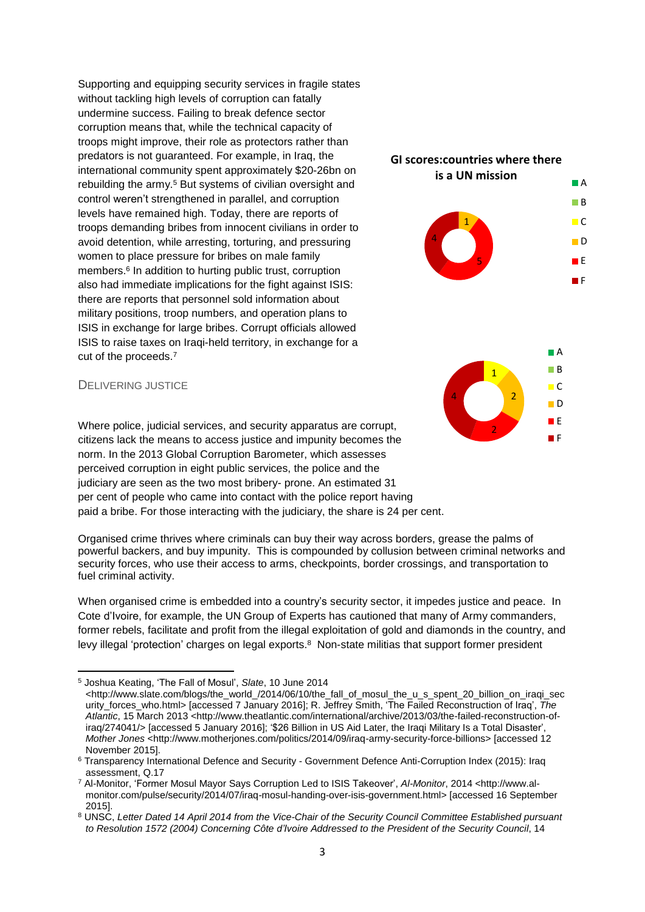Supporting and equipping security services in fragile states without tackling high levels of corruption can fatally undermine success. Failing to break defence sector corruption means that, while the technical capacity of troops might improve, their role as protectors rather than predators is not guaranteed. For example, in Iraq, the international community spent approximately \$20-26bn on rebuilding the army. <sup>5</sup> But systems of civilian oversight and control weren't strengthened in parallel, and corruption levels have remained high. Today, there are reports of troops demanding bribes from innocent civilians in order to avoid detention, while arresting, torturing, and pressuring women to place pressure for bribes on male family members.<sup>6</sup> In addition to hurting public trust, corruption also had immediate implications for the fight against ISIS: there are reports that personnel sold information about military positions, troop numbers, and operation plans to ISIS in exchange for large bribes. Corrupt officials allowed ISIS to raise taxes on Iraqi-held territory, in exchange for a cut of the proceeds.<sup>7</sup>



#### DELIVERING JUSTICE

**.** 

Where police, judicial services, and security apparatus are corrupt, citizens lack the means to access justice and impunity becomes the norm. In the 2013 Global Corruption Barometer, which assesses perceived corruption in eight public services, the police and the judiciary are seen as the two most bribery- prone. An estimated 31 per cent of people who came into contact with the police report having paid a bribe. For those interacting with the judiciary, the share is 24 per cent.

Organised crime thrives where criminals can buy their way across borders, grease the palms of powerful backers, and buy impunity. This is compounded by collusion between criminal networks and security forces, who use their access to arms, checkpoints, border crossings, and transportation to fuel criminal activity.

When organised crime is embedded into a country's security sector, it impedes justice and peace. In Cote d'Ivoire, for example, the UN Group of Experts has cautioned that many of Army commanders, former rebels, facilitate and profit from the illegal exploitation of gold and diamonds in the country, and levy illegal 'protection' charges on legal exports.<sup>8</sup> Non-state militias that support former president

<sup>5</sup> Joshua Keating, 'The Fall of Mosul', *Slate*, 10 June 2014

<sup>&</sup>lt;http://www.slate.com/blogs/the\_world\_/2014/06/10/the\_fall\_of\_mosul\_the\_u\_s\_spent\_20\_billion\_on\_iraqi\_sec urity\_forces\_who.html> [accessed 7 January 2016]; R. Jeffrey Smith, 'The Failed Reconstruction of Iraq', *The Atlantic*, 15 March 2013 <http://www.theatlantic.com/international/archive/2013/03/the-failed-reconstruction-ofiraq/274041/> [accessed 5 January 2016]; '\$26 Billion in US Aid Later, the Iraqi Military Is a Total Disaster', *Mother Jones* <http://www.motherjones.com/politics/2014/09/iraq-army-security-force-billions> [accessed 12 November 2015].

<sup>6</sup> Transparency International Defence and Security - Government Defence Anti-Corruption Index (2015): Iraq assessment, Q.17

<sup>7</sup> Al-Monitor, 'Former Mosul Mayor Says Corruption Led to ISIS Takeover', *Al-Monitor*, 2014 <http://www.almonitor.com/pulse/security/2014/07/iraq-mosul-handing-over-isis-government.html> [accessed 16 September 2015].

<sup>8</sup> UNSC, *Letter Dated 14 April 2014 from the Vice-Chair of the Security Council Committee Established pursuant to Resolution 1572 (2004) Concerning Côte d'Ivoire Addressed to the President of the Security Council*, 14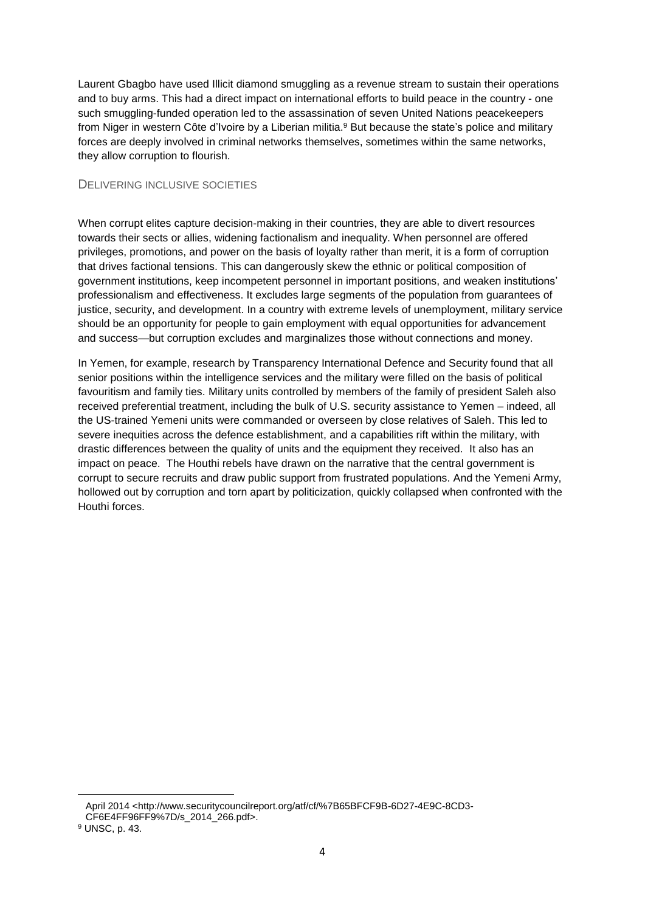Laurent Gbagbo have used Illicit diamond smuggling as a revenue stream to sustain their operations and to buy arms. This had a direct impact on international efforts to build peace in the country - one such smuggling-funded operation led to the assassination of seven United Nations peacekeepers from Niger in western Côte d'Ivoire by a Liberian militia.<sup>9</sup> But because the state's police and military forces are deeply involved in criminal networks themselves, sometimes within the same networks, they allow corruption to flourish.

### DELIVERING INCLUSIVE SOCIETIES

When corrupt elites capture decision-making in their countries, they are able to divert resources towards their sects or allies, widening factionalism and inequality. When personnel are offered privileges, promotions, and power on the basis of loyalty rather than merit, it is a form of corruption that drives factional tensions. This can dangerously skew the ethnic or political composition of government institutions, keep incompetent personnel in important positions, and weaken institutions' professionalism and effectiveness. It excludes large segments of the population from guarantees of justice, security, and development. In a country with extreme levels of unemployment, military service should be an opportunity for people to gain employment with equal opportunities for advancement and success—but corruption excludes and marginalizes those without connections and money.

In Yemen, for example, research by Transparency International Defence and Security found that all senior positions within the intelligence services and the military were filled on the basis of political favouritism and family ties. Military units controlled by members of the family of president Saleh also received preferential treatment, including the bulk of U.S. security assistance to Yemen – indeed, all the US-trained Yemeni units were commanded or overseen by close relatives of Saleh. This led to severe inequities across the defence establishment, and a capabilities rift within the military, with drastic differences between the quality of units and the equipment they received. It also has an impact on peace. The Houthi rebels have drawn on the narrative that the central government is corrupt to secure recruits and draw public support from frustrated populations. And the Yemeni Army, hollowed out by corruption and torn apart by politicization, quickly collapsed when confronted with the Houthi forces.

 $\overline{a}$ 

April 2014 <http://www.securitycouncilreport.org/atf/cf/%7B65BFCF9B-6D27-4E9C-8CD3- CF6E4FF96FF9%7D/s\_2014\_266.pdf>.

<sup>9</sup> UNSC, p. 43.